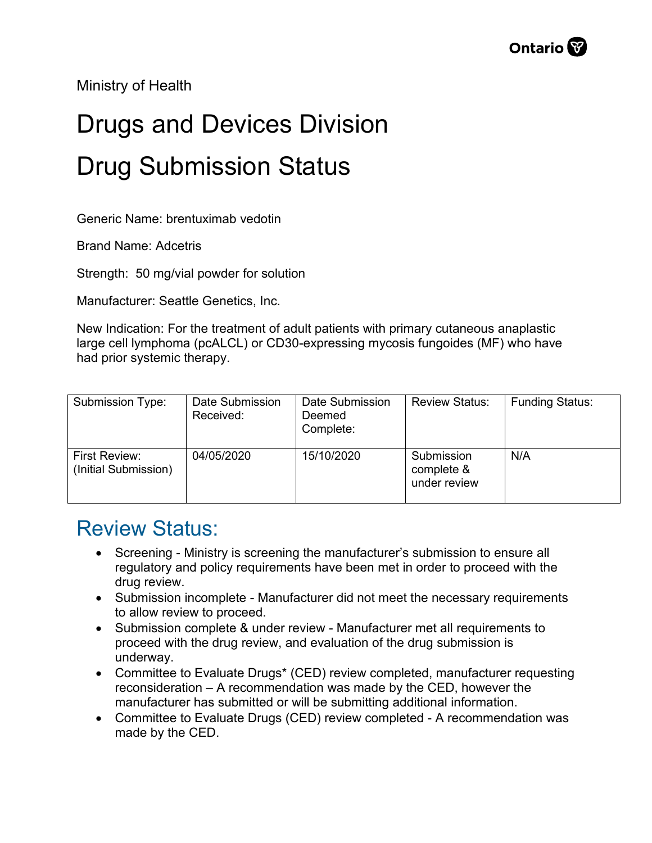Ministry of Health

## Drugs and Devices Division Drug Submission Status

Generic Name: brentuximab vedotin

Brand Name: Adcetris

Strength: 50 mg/vial powder for solution

Manufacturer: Seattle Genetics, Inc.

New Indication: For the treatment of adult patients with primary cutaneous anaplastic large cell lymphoma (pcALCL) or CD30-expressing mycosis fungoides (MF) who have had prior systemic therapy.

| Submission Type:                             | Date Submission<br>Received: | Date Submission<br>Deemed<br>Complete: | <b>Review Status:</b>                    | <b>Funding Status:</b> |
|----------------------------------------------|------------------------------|----------------------------------------|------------------------------------------|------------------------|
| <b>First Review:</b><br>(Initial Submission) | 04/05/2020                   | 15/10/2020                             | Submission<br>complete &<br>under review | N/A                    |

## Review Status:

- Screening Ministry is screening the manufacturer's submission to ensure all regulatory and policy requirements have been met in order to proceed with the drug review.
- Submission incomplete Manufacturer did not meet the necessary requirements to allow review to proceed.
- Submission complete & under review Manufacturer met all requirements to proceed with the drug review, and evaluation of the drug submission is underway.
- Committee to Evaluate Drugs\* (CED) review completed, manufacturer requesting reconsideration – A recommendation was made by the CED, however the manufacturer has submitted or will be submitting additional information.
- Committee to Evaluate Drugs (CED) review completed A recommendation was made by the CED.